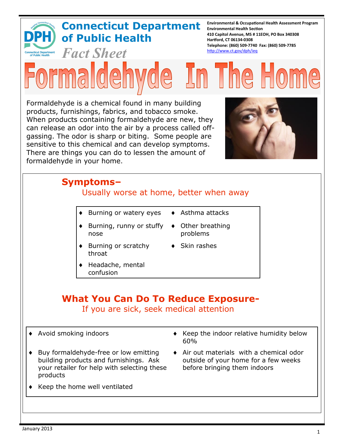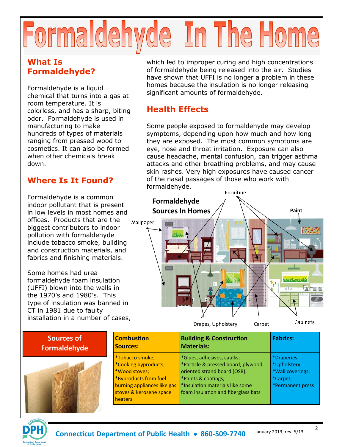# Formaldehyde In The Home

## **What Is Formaldehyde?**

Formaldehyde is a liquid chemical that turns into a gas at room temperature. It is colorless, and has a sharp, biting odor. Formaldehyde is used in manufacturing to make hundreds of types of materials ranging from pressed wood to cosmetics. It can also be formed when other chemicals break down.

## **Where Is It Found?**

Formaldehyde is a common indoor pollutant that is present in low levels in most homes and offices. Products that are the biggest contributors to indoor pollution with formaldehyde include tobacco smoke, building and construction materials, and fabrics and finishing materials.

Some homes had urea formaldehyde foam insulation (UFFI) blown into the walls in the 1970's and 1980's. This type of insulation was banned in CT in 1981 due to faulty installation in a number of cases,

which led to improper curing and high concentrations of formaldehyde being released into the air. Studies have shown that UFFI is no longer a problem in these homes because the insulation is no longer releasing significant amounts of formaldehyde.

## **Health Effects**

Some people exposed to formaldehyde may develop symptoms, depending upon how much and how long they are exposed. The most common symptoms are eye, nose and throat irritation. Exposure can also cause headache, mental confusion, can trigger asthma attacks and other breathing problems, and may cause skin rashes. Very high exposures have caused cancer of the nasal passages of those who work with formaldehyde.



| Sources of          | <b>Combustion</b>                                                                                                                                      | <b>Building &amp; Construction</b>                                                                                                                                                                             | <b>Fabrics:</b>                                                                 |
|---------------------|--------------------------------------------------------------------------------------------------------------------------------------------------------|----------------------------------------------------------------------------------------------------------------------------------------------------------------------------------------------------------------|---------------------------------------------------------------------------------|
| <b>Formaldehyde</b> | <b>Sources:</b>                                                                                                                                        | <b>Materials:</b>                                                                                                                                                                                              |                                                                                 |
| $\sim$              | *Tobacco smoke;<br>*Cooking byproducts;<br>*Wood stoves;<br>*Byproducts from fuel<br>burning appliances like gas<br>stoves & kerosene space<br>heaters | *Glues, adhesives, caulks;<br>*Particle & pressed board, plywood,<br>oriented strand board (OSB);<br>*Paints & coatings;<br><sup>*</sup> Insulation materials like some<br>foam insulation and fiberglass bats | *Draperies;<br>*Upholstery;<br>*Wall coverings;<br>*Carpet;<br>*Permanent press |